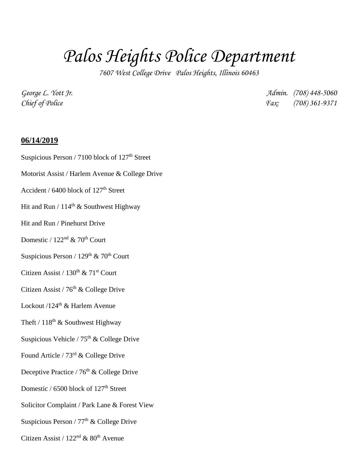## *Palos Heights Police Department*

*7607 West College Drive Palos Heights, Illinois 60463*

*George L. Yott Jr. Admin. (708) 448-5060 Chief of Police Fax: (708) 361-9371*

**06/14/2019** Suspicious Person / 7100 block of 127<sup>th</sup> Street Motorist Assist / Harlem Avenue & College Drive Accident /  $6400$  block of  $127<sup>th</sup>$  Street Hit and Run /  $114<sup>th</sup>$  & Southwest Highway Hit and Run / Pinehurst Drive Domestic /  $122<sup>nd</sup>$  & 70<sup>th</sup> Court Suspicious Person /  $129<sup>th</sup>$  &  $70<sup>th</sup>$  Court Citizen Assist /  $130^{th}$  &  $71^{st}$  Court Citizen Assist /  $76<sup>th</sup>$  & College Drive Lockout /124<sup>th</sup> & Harlem Avenue Theft /  $118^{th}$  & Southwest Highway Suspicious Vehicle /  $75<sup>th</sup>$  & College Drive Found Article / 73rd & College Drive Deceptive Practice / 76<sup>th</sup> & College Drive Domestic  $/$  6500 block of 127<sup>th</sup> Street Solicitor Complaint / Park Lane & Forest View Suspicious Person /  $77<sup>th</sup>$  & College Drive Citizen Assist /  $122<sup>nd</sup>$  &  $80<sup>th</sup>$  Avenue